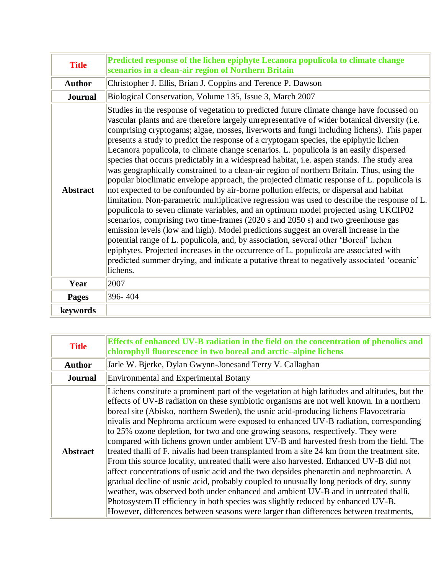| <b>Title</b>    | Predicted response of the lichen epiphyte Lecanora populicola to climate change<br>scenarios in a clean-air region of Northern Britain                                                                                                                                                                                                                                                                                                                                                                                                                                                                                                                                                                                                                                                                                                                                                                                                                                                                                                                                                                                                                                                                                                                                                                                                                                                                                                                                                                                      |
|-----------------|-----------------------------------------------------------------------------------------------------------------------------------------------------------------------------------------------------------------------------------------------------------------------------------------------------------------------------------------------------------------------------------------------------------------------------------------------------------------------------------------------------------------------------------------------------------------------------------------------------------------------------------------------------------------------------------------------------------------------------------------------------------------------------------------------------------------------------------------------------------------------------------------------------------------------------------------------------------------------------------------------------------------------------------------------------------------------------------------------------------------------------------------------------------------------------------------------------------------------------------------------------------------------------------------------------------------------------------------------------------------------------------------------------------------------------------------------------------------------------------------------------------------------------|
| <b>Author</b>   | Christopher J. Ellis, Brian J. Coppins and Terence P. Dawson                                                                                                                                                                                                                                                                                                                                                                                                                                                                                                                                                                                                                                                                                                                                                                                                                                                                                                                                                                                                                                                                                                                                                                                                                                                                                                                                                                                                                                                                |
| <b>Journal</b>  | Biological Conservation, Volume 135, Issue 3, March 2007                                                                                                                                                                                                                                                                                                                                                                                                                                                                                                                                                                                                                                                                                                                                                                                                                                                                                                                                                                                                                                                                                                                                                                                                                                                                                                                                                                                                                                                                    |
| <b>Abstract</b> | Studies in the response of vegetation to predicted future climate change have focussed on<br>vascular plants and are therefore largely unrepresentative of wider botanical diversity (i.e.<br>comprising cryptogams; algae, mosses, liverworts and fungi including lichens). This paper<br>presents a study to predict the response of a cryptogam species, the epiphytic lichen<br>Lecanora populicola, to climate change scenarios. L. populicola is an easily dispersed<br>species that occurs predictably in a widespread habitat, i.e. aspen stands. The study area<br>was geographically constrained to a clean-air region of northern Britain. Thus, using the<br>popular bioclimatic envelope approach, the projected climatic response of L. populicola is<br>not expected to be confounded by air-borne pollution effects, or dispersal and habitat<br>limitation. Non-parametric multiplicative regression was used to describe the response of L.<br>populicola to seven climate variables, and an optimum model projected using UKCIP02<br>scenarios, comprising two time-frames (2020 s and 2050 s) and two greenhouse gas<br>emission levels (low and high). Model predictions suggest an overall increase in the<br>potential range of L. populicola, and, by association, several other 'Boreal' lichen<br>epiphytes. Projected increases in the occurrence of L. populicola are associated with<br>predicted summer drying, and indicate a putative threat to negatively associated 'oceanic'<br>lichens. |
| Year            | 2007                                                                                                                                                                                                                                                                                                                                                                                                                                                                                                                                                                                                                                                                                                                                                                                                                                                                                                                                                                                                                                                                                                                                                                                                                                                                                                                                                                                                                                                                                                                        |
| <b>Pages</b>    | 396-404                                                                                                                                                                                                                                                                                                                                                                                                                                                                                                                                                                                                                                                                                                                                                                                                                                                                                                                                                                                                                                                                                                                                                                                                                                                                                                                                                                                                                                                                                                                     |
| keywords        |                                                                                                                                                                                                                                                                                                                                                                                                                                                                                                                                                                                                                                                                                                                                                                                                                                                                                                                                                                                                                                                                                                                                                                                                                                                                                                                                                                                                                                                                                                                             |

| <b>Title</b>    | Effects of enhanced UV-B radiation in the field on the concentration of phenolics and<br>chlorophyll fluorescence in two boreal and arctic-alpine lichens                                                                                                                                                                                                                                                                                                                                                                                                                                                                                                                                                                                                                                                                                                                                                                                                                                                                                                                                                                                                                                                      |
|-----------------|----------------------------------------------------------------------------------------------------------------------------------------------------------------------------------------------------------------------------------------------------------------------------------------------------------------------------------------------------------------------------------------------------------------------------------------------------------------------------------------------------------------------------------------------------------------------------------------------------------------------------------------------------------------------------------------------------------------------------------------------------------------------------------------------------------------------------------------------------------------------------------------------------------------------------------------------------------------------------------------------------------------------------------------------------------------------------------------------------------------------------------------------------------------------------------------------------------------|
| <b>Author</b>   | Jarle W. Bjerke, Dylan Gwynn-Jonesand Terry V. Callaghan                                                                                                                                                                                                                                                                                                                                                                                                                                                                                                                                                                                                                                                                                                                                                                                                                                                                                                                                                                                                                                                                                                                                                       |
| <b>Journal</b>  | <b>Environmental and Experimental Botany</b>                                                                                                                                                                                                                                                                                                                                                                                                                                                                                                                                                                                                                                                                                                                                                                                                                                                                                                                                                                                                                                                                                                                                                                   |
| <b>Abstract</b> | Lichens constitute a prominent part of the vegetation at high latitudes and altitudes, but the<br>effects of UV-B radiation on these symbiotic organisms are not well known. In a northern<br>boreal site (Abisko, northern Sweden), the usnic acid-producing lichens Flavocetraria<br>nivalis and Nephroma arcticum were exposed to enhanced UV-B radiation, corresponding<br>to 25% ozone depletion, for two and one growing seasons, respectively. They were<br>compared with lichens grown under ambient UV-B and harvested fresh from the field. The<br>treated thalli of F. nivalis had been transplanted from a site 24 km from the treatment site.<br>From this source locality, untreated thalli were also harvested. Enhanced UV-B did not<br>affect concentrations of usnic acid and the two depsides phenarctin and nephroarctin. A<br>gradual decline of usnic acid, probably coupled to unusually long periods of dry, sunny<br>weather, was observed both under enhanced and ambient UV-B and in untreated thalli.<br>Photosystem II efficiency in both species was slightly reduced by enhanced UV-B.<br>However, differences between seasons were larger than differences between treatments, |